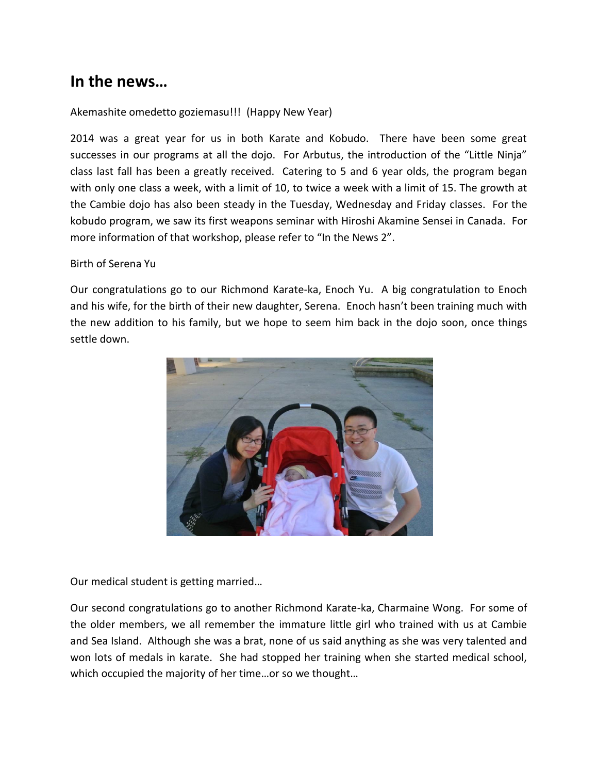# **In the news…**

## Akemashite omedetto goziemasu!!! (Happy New Year)

2014 was a great year for us in both Karate and Kobudo. There have been some great successes in our programs at all the dojo. For Arbutus, the introduction of the "Little Ninja" class last fall has been a greatly received. Catering to 5 and 6 year olds, the program began with only one class a week, with a limit of 10, to twice a week with a limit of 15. The growth at the Cambie dojo has also been steady in the Tuesday, Wednesday and Friday classes. For the kobudo program, we saw its first weapons seminar with Hiroshi Akamine Sensei in Canada. For more information of that workshop, please refer to "In the News 2".

#### Birth of Serena Yu

Our congratulations go to our Richmond Karate-ka, Enoch Yu. A big congratulation to Enoch and his wife, for the birth of their new daughter, Serena. Enoch hasn't been training much with the new addition to his family, but we hope to seem him back in the dojo soon, once things settle down.



Our medical student is getting married…

Our second congratulations go to another Richmond Karate-ka, Charmaine Wong. For some of the older members, we all remember the immature little girl who trained with us at Cambie and Sea Island. Although she was a brat, none of us said anything as she was very talented and won lots of medals in karate. She had stopped her training when she started medical school, which occupied the majority of her time…or so we thought…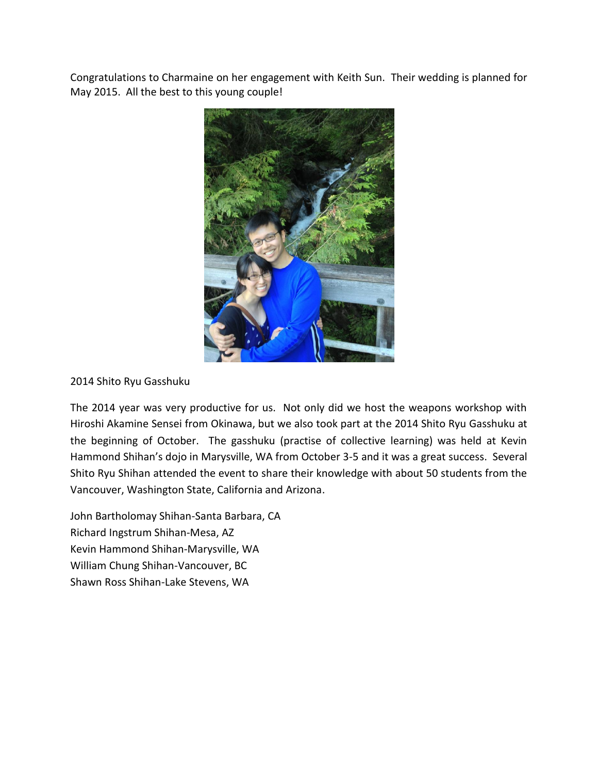Congratulations to Charmaine on her engagement with Keith Sun. Their wedding is planned for May 2015. All the best to this young couple!



## 2014 Shito Ryu Gasshuku

The 2014 year was very productive for us. Not only did we host the weapons workshop with Hiroshi Akamine Sensei from Okinawa, but we also took part at the 2014 Shito Ryu Gasshuku at the beginning of October. The gasshuku (practise of collective learning) was held at Kevin Hammond Shihan's dojo in Marysville, WA from October 3-5 and it was a great success. Several Shito Ryu Shihan attended the event to share their knowledge with about 50 students from the Vancouver, Washington State, California and Arizona.

John Bartholomay Shihan-Santa Barbara, CA Richard Ingstrum Shihan-Mesa, AZ Kevin Hammond Shihan-Marysville, WA William Chung Shihan-Vancouver, BC Shawn Ross Shihan-Lake Stevens, WA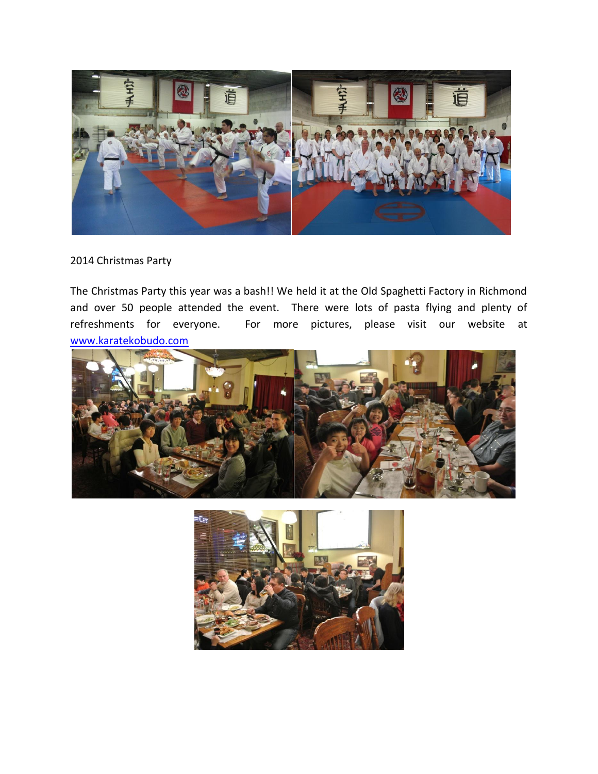

## 2014 Christmas Party

The Christmas Party this year was a bash!! We held it at the Old Spaghetti Factory in Richmond and over 50 people attended the event. There were lots of pasta flying and plenty of refreshments for everyone. For more pictures, please visit our website at [www.karatekobudo.com](http://www.karatekobudo.com/)



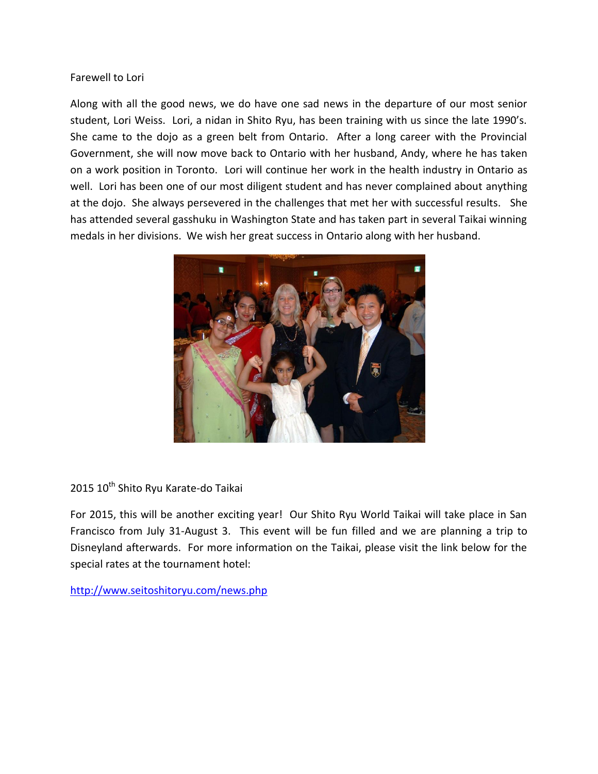#### Farewell to Lori

Along with all the good news, we do have one sad news in the departure of our most senior student, Lori Weiss. Lori, a nidan in Shito Ryu, has been training with us since the late 1990's. She came to the dojo as a green belt from Ontario. After a long career with the Provincial Government, she will now move back to Ontario with her husband, Andy, where he has taken on a work position in Toronto. Lori will continue her work in the health industry in Ontario as well. Lori has been one of our most diligent student and has never complained about anything at the dojo. She always persevered in the challenges that met her with successful results. She has attended several gasshuku in Washington State and has taken part in several Taikai winning medals in her divisions. We wish her great success in Ontario along with her husband.



2015 10<sup>th</sup> Shito Ryu Karate-do Taikai

For 2015, this will be another exciting year! Our Shito Ryu World Taikai will take place in San Francisco from July 31-August 3. This event will be fun filled and we are planning a trip to Disneyland afterwards. For more information on the Taikai, please visit the link below for the special rates at the tournament hotel:

<http://www.seitoshitoryu.com/news.php>